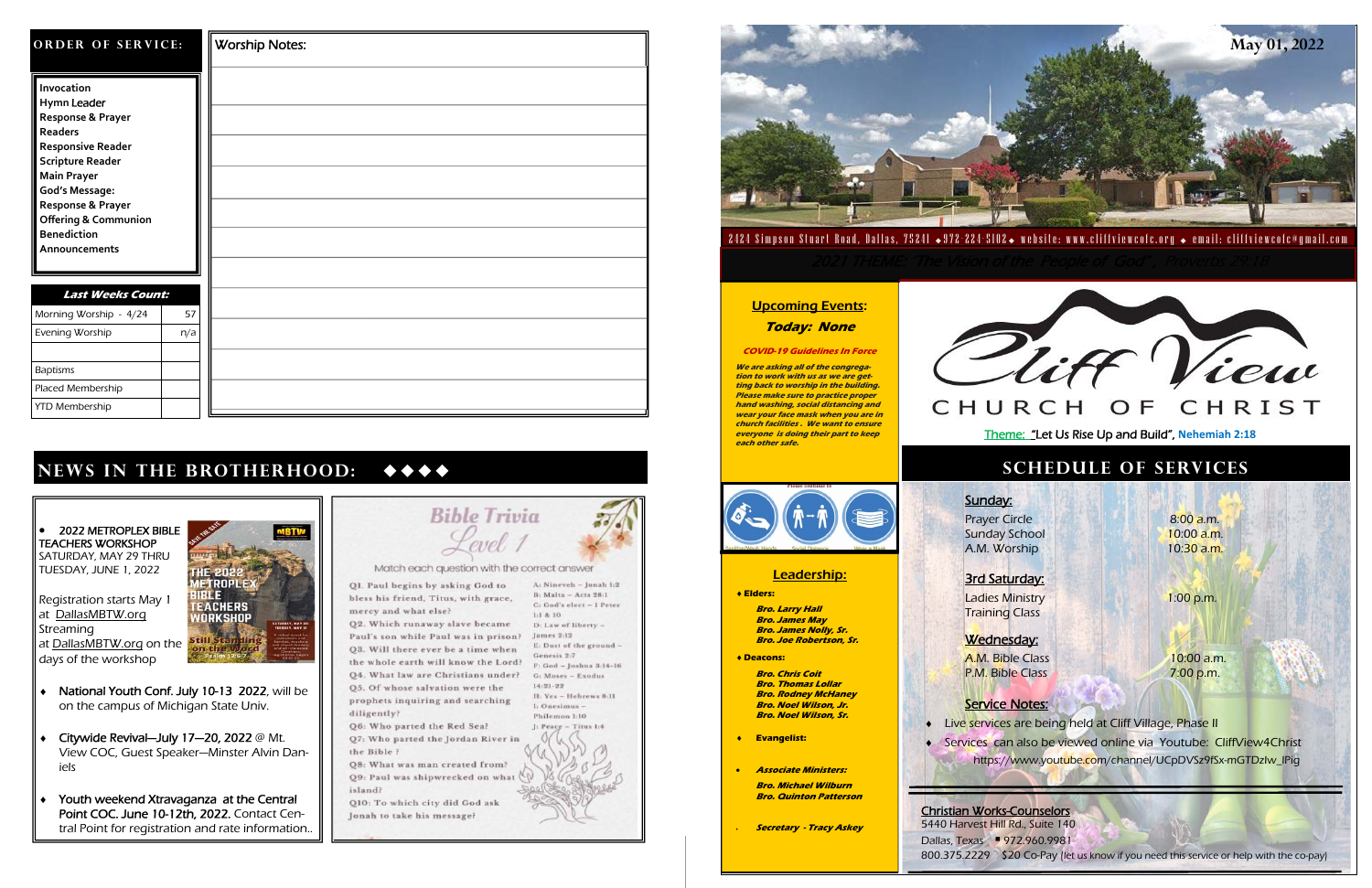| ORDER OF SERVICE:                                                                                                                                                                                                                                              |     | <b>Worship Notes:</b> |
|----------------------------------------------------------------------------------------------------------------------------------------------------------------------------------------------------------------------------------------------------------------|-----|-----------------------|
| Invocation<br>Hymn Leader<br>Response & Prayer<br>Readers<br><b>Responsive Reader</b><br><b>Scripture Reader</b><br><b>Main Prayer</b><br><b>God's Message:</b><br>Response & Prayer<br><b>Offering &amp; Communion</b><br><b>Benediction</b><br>Announcements |     |                       |
| <b>Last Weeks Count:</b><br>Morning Worship - 4/24                                                                                                                                                                                                             | 57  |                       |
| Evening Worship                                                                                                                                                                                                                                                | n/a |                       |
| <b>Baptisms</b>                                                                                                                                                                                                                                                |     |                       |
| Placed Membership                                                                                                                                                                                                                                              |     |                       |
| <b>YTD Membership</b>                                                                                                                                                                                                                                          |     |                       |

 $\bullet$  2022 METROPLEX BIBLE TEACHERS WORKSHOP SATURDAY, MAY 29 THRU TUESDAY, JUNE 1, 2022

## **News in the brotherhood:**

**EACHERS** 

WORKSHOP

**Still** 

**BTW** 

- ٠ National Youth Conf. July 10-13 2022, will be on the campus of Michigan State Univ.
- ٠ Citywide Revival—July 17—20, 2022 @ Mt. View COC, Guest Speaker—Minster Alvin Daniels
- ٠ Youth weekend Xtravaganza at the Central Point COC. June 10-12th, 2022. Contact Central Point for registration and rate information..



Paul's son while Paul was in prison? Q3. Will there ever be a time when the whole earth will know the Lord? 04. What law are Christians under? 05. Of whose salvation were the prophets inquiring and searching diligently?

Q6: Who parted the Red Sea? Q7: Who parted the Jordan River in the Bible?

Q8: What was man created from? Q9: Paul was shipwrecked on what ( island?

Q10: To which city did God ask Jonah to take his message?

A: Nineveh - Jonah 1:2 B: Malta - Acts 28:1 C: God's elect - 1 Peter  $1:14:10$ 

> James 2:12 Genesis 2:7 G: Moses - Exodus  $14.21.22$ H: Yes - Hebrews 8:11 I: Onesimus -

D: Law of liberty E: Dust of the ground - $F$ : God - Joshua 3:14-16 Philemon 1:10  $I: Peace - Titus 1:4$ 

 $\bullet$ 

٠

Training Class Wednesday:

Prayer Circle 8:00 a.m. Sunday School **10:00 a.m.** A.M. Worship 10:30 a.m.

Registration starts May 1 at DallasMBTW.org **Streaming** at DallasMBTW.org on the days of the workshop

Ladies Ministry **1:00 p.m.** 

A.M. Bible Class 10:00 a.m. P.M. Bible Class **7:00 p.m.** 

◆ Live services are being held at Cliff Village, Phase II Services can also be viewed online via Youtube: CliffView4Christ https://www.youtube.com/channel/UCpDVSz9fSx-mGTDzIw\_lPig

3rd Saturday:

#### Service Notes:

5440 Harvest Hill Rd., Suite 140 Dallas, Texas ▪ 972.960.9981 800.375.2229 \$20 Co-Pay (let us know if you need this service or help with the co-pay)

### **schedule of serv ice s**

Sunday:

#### Leadership:

#### **Elders:**

 **Bro. Larry Hall Bro. James May Bro. James Nolly, Sr. Bro. Joe Robertson, Sr.** 

**Deacons:** 

 **Bro. Chris Coit Bro. Thomas Lollar Bro. Rodney McHaney Bro. Noel Wilson, Jr. Bro. Noel Wilson, Sr.** 

- **Evangelist:**
- **Associate Ministers:**

 **Bro. Michael Wilburn Bro. Quinton Patterson** 

**Secretary - Tracy Askey** 

## **Today: None**

#### **COVID-19 Guidelines In Force**

**We are asking all of the congregation to work with us as we are getting back to worship in the building. Please make sure to practice proper hand washing, social distancing and wear your face mask when you are in church facilities . We want to ensure everyone is doing their part to keep each other safe.** 







# **Upcoming Events:**

Christian Works-Counselors

Theme: "Let Us Rise Up and Build", **Nehemiah 2:18**